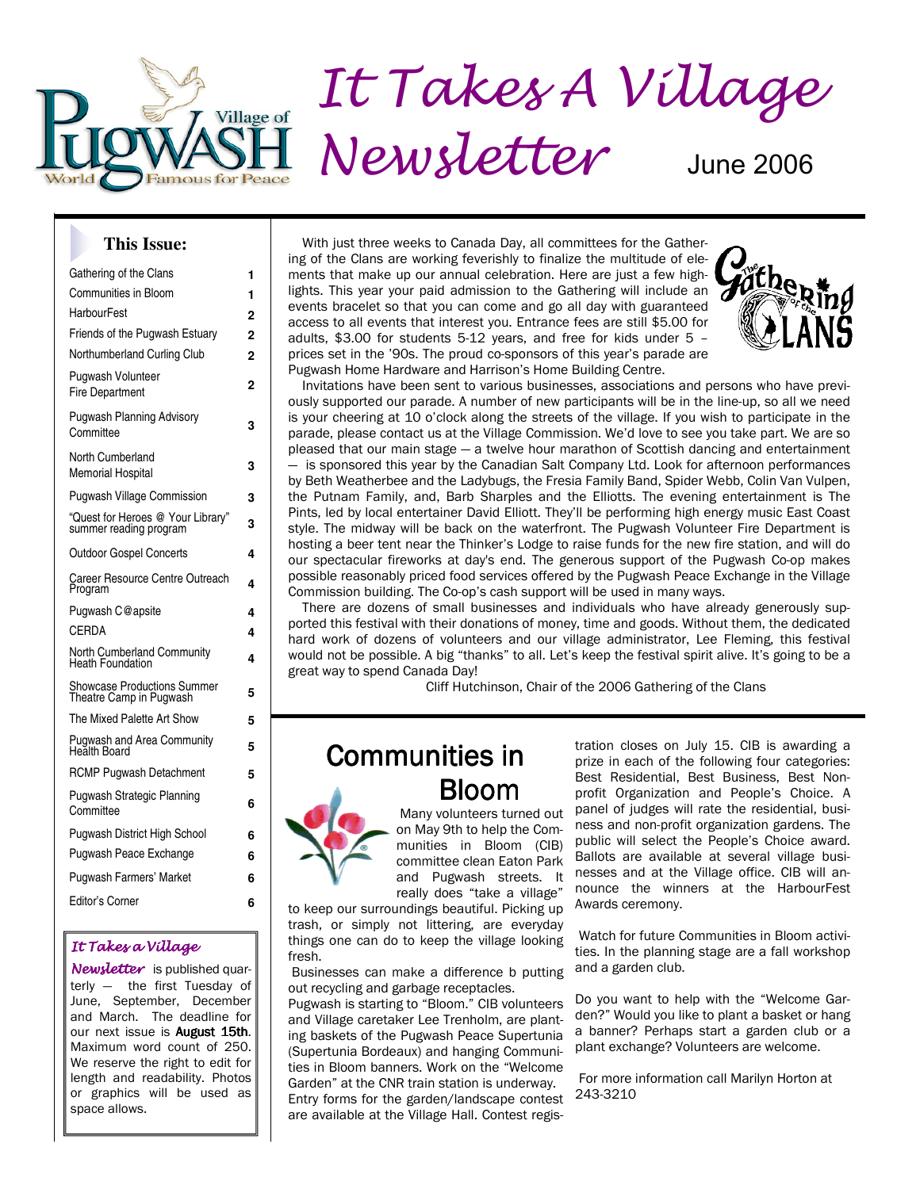

#### **This Issue:**

| Gathering of the Clans                                      | 1              |
|-------------------------------------------------------------|----------------|
| Communities in Bloom                                        | 1              |
| HarbourFest                                                 | $\overline{2}$ |
| Friends of the Pugwash Estuary                              | 2              |
| Northumberland Curling Club                                 | 2              |
| Pugwash Volunteer<br><b>Fire Department</b>                 | 2              |
| <b>Pugwash Planning Advisory</b><br>Committee               | 3              |
| North Cumberland<br>Memorial Hospital                       | 3              |
| <b>Pugwash Village Commission</b>                           | 3              |
| "Quest for Heroes @ Your Library"<br>summer reading program | 3              |
| <b>Outdoor Gospel Concerts</b>                              | 4              |
| Career Resource Centre Outreach<br>Program                  | 4              |
| Pugwash C@apsite                                            | 4              |
| CERDA                                                       | 4              |
| North Cumberland Community<br>Heath Foundation              | 4              |
| Showcase Productions Summer<br>Theatre Camp in Pugwash      | 5              |
| The Mixed Palette Art Show                                  | 5              |
| Pugwash and Area Community<br>Health Board                  | 5              |
| <b>RCMP Pugwash Detachment</b>                              | 5              |
| Pugwash Strategic Planning<br>Committee                     | 6              |
| Pugwash District High School                                | 6              |
| Pugwash Peace Exchange                                      | 6              |
| Pugwash Farmers' Market                                     | 6              |
| Editor's Corner                                             | 6              |
|                                                             |                |

#### It Takes a Village

Newsletter is published quarterly — the first Tuesday of June, September, December and March. The deadline for our next issue is **August 15th**. Maximum word count of 250. We reserve the right to edit for length and readability. Photos or graphics will be used as space allows.

 With just three weeks to Canada Day, all committees for the Gathering of the Clans are working feverishly to finalize the multitude of elements that make up our annual celebration. Here are just a few highlights. This year your paid admission to the Gathering will include an events bracelet so that you can come and go all day with guaranteed access to all events that interest you. Entrance fees are still \$5.00 for adults, \$3.00 for students 5-12 years, and free for kids under 5 – prices set in the '90s. The proud co-sponsors of this year's parade are Pugwash Home Hardware and Harrison's Home Building Centre.



 Invitations have been sent to various businesses, associations and persons who have previously supported our parade. A number of new participants will be in the line-up, so all we need is your cheering at 10 o'clock along the streets of the village. If you wish to participate in the parade, please contact us at the Village Commission. We'd love to see you take part. We are so pleased that our main stage — a twelve hour marathon of Scottish dancing and entertainment is sponsored this year by the Canadian Salt Company Ltd. Look for afternoon performances by Beth Weatherbee and the Ladybugs, the Fresia Family Band, Spider Webb, Colin Van Vulpen, the Putnam Family, and, Barb Sharples and the Elliotts. The evening entertainment is The Pints, led by local entertainer David Elliott. They'll be performing high energy music East Coast style. The midway will be back on the waterfront. The Pugwash Volunteer Fire Department is hosting a beer tent near the Thinker's Lodge to raise funds for the new fire station, and will do our spectacular fireworks at day's end. The generous support of the Pugwash Co-op makes possible reasonably priced food services offered by the Pugwash Peace Exchange in the Village Commission building. The Co-op's cash support will be used in many ways.

 There are dozens of small businesses and individuals who have already generously supported this festival with their donations of money, time and goods. Without them, the dedicated hard work of dozens of volunteers and our village administrator, Lee Fleming, this festival would not be possible. A big "thanks" to all. Let's keep the festival spirit alive. It's going to be a great way to spend Canada Day!

Cliff Hutchinson, Chair of the 2006 Gathering of the Clans

# Communities in Bloom



 Many volunteers turned out on May 9th to help the Communities in Bloom (CIB) committee clean Eaton Park and Pugwash streets. It really does "take a village"

to keep our surroundings beautiful. Picking up trash, or simply not littering, are everyday things one can do to keep the village looking fresh.

 Businesses can make a difference b putting out recycling and garbage receptacles.

Pugwash is starting to "Bloom." CIB volunteers and Village caretaker Lee Trenholm, are planting baskets of the Pugwash Peace Supertunia (Supertunia Bordeaux) and hanging Communities in Bloom banners. Work on the "Welcome Garden" at the CNR train station is underway. Entry forms for the garden/landscape contest are available at the Village Hall. Contest regis-

tration closes on July 15. CIB is awarding a prize in each of the following four categories: Best Residential, Best Business, Best Nonprofit Organization and People's Choice. A panel of judges will rate the residential, business and non-profit organization gardens. The public will select the People's Choice award. Ballots are available at several village businesses and at the Village office. CIB will announce the winners at the HarbourFest Awards ceremony.

 Watch for future Communities in Bloom activities. In the planning stage are a fall workshop and a garden club.

Do you want to help with the "Welcome Garden?" Would you like to plant a basket or hang a banner? Perhaps start a garden club or a plant exchange? Volunteers are welcome.

 For more information call Marilyn Horton at 243-3210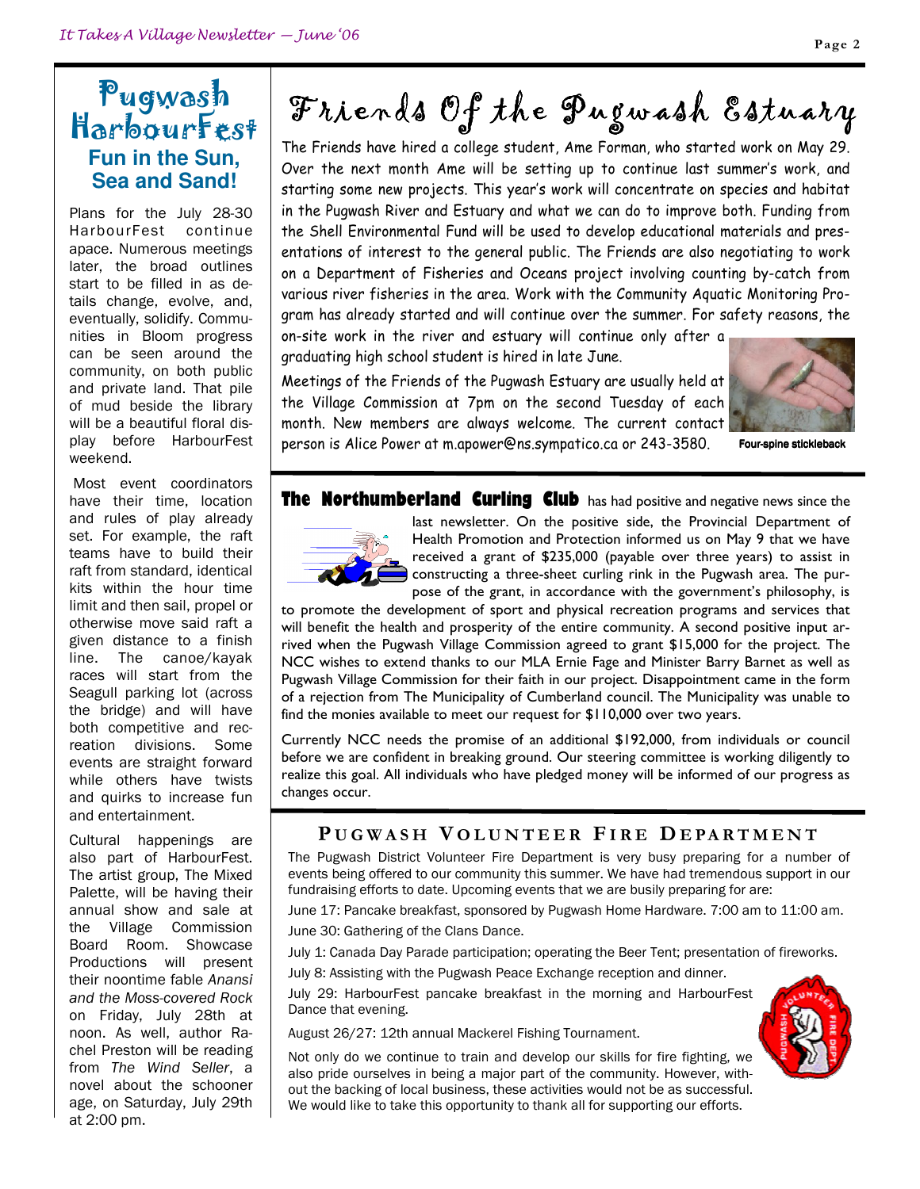## Pugwash HarbourFest **Fun in the Sun, Sea and Sand!**

Plans for the July 28-30 HarbourFest continue apace. Numerous meetings later, the broad outlines start to be filled in as details change, evolve, and, eventually, solidify. Communities in Bloom progress can be seen around the community, on both public and private land. That pile of mud beside the library will be a beautiful floral display before HarbourFest weekend.

 Most event coordinators have their time, location and rules of play already set. For example, the raft teams have to build their raft from standard, identical kits within the hour time limit and then sail, propel or otherwise move said raft a given distance to a finish line. The canoe/kayak races will start from the Seagull parking lot (across the bridge) and will have both competitive and recreation divisions. Some events are straight forward while others have twists and quirks to increase fun and entertainment.

Cultural happenings are also part of HarbourFest. The artist group, The Mixed Palette, will be having their annual show and sale at the Village Commission Board Room. Showcase Productions will present their noontime fable Anansi and the Moss-covered Rock on Friday, July 28th at noon. As well, author Rachel Preston will be reading from The Wind Seller, a novel about the schooner age, on Saturday, July 29th at 2:00 pm.

# Friends Of the Pugwash Estuary

The Friends have hired a college student, Ame Forman, who started work on May 29. Over the next month Ame will be setting up to continue last summer's work, and starting some new projects. This year's work will concentrate on species and habitat in the Pugwash River and Estuary and what we can do to improve both. Funding from the Shell Environmental Fund will be used to develop educational materials and presentations of interest to the general public. The Friends are also negotiating to work on a Department of Fisheries and Oceans project involving counting by-catch from various river fisheries in the area. Work with the Community Aquatic Monitoring Program has already started and will continue over the summer. For safety reasons, the

on-site work in the river and estuary will continue only after a graduating high school student is hired in late June.

Meetings of the Friends of the Pugwash Estuary are usually held at the Village Commission at 7pm on the second Tuesday of each month. New members are always welcome. The current contact person is Alice Power at m.apower@ns.sympatico.ca or 243-3580.



Four-spine stickleback

#### **The Northumberland Curling Club** has had positive and negative news since the



last newsletter. On the positive side, the Provincial Department of Health Promotion and Protection informed us on May 9 that we have received a grant of \$235,000 (payable over three years) to assist in constructing a three-sheet curling rink in the Pugwash area. The purpose of the grant, in accordance with the government's philosophy, is

to promote the development of sport and physical recreation programs and services that will benefit the health and prosperity of the entire community. A second positive input arrived when the Pugwash Village Commission agreed to grant \$15,000 for the project. The NCC wishes to extend thanks to our MLA Ernie Fage and Minister Barry Barnet as well as Pugwash Village Commission for their faith in our project. Disappointment came in the form of a rejection from The Municipality of Cumberland council. The Municipality was unable to find the monies available to meet our request for \$110,000 over two years.

Currently NCC needs the promise of an additional \$192,000, from individuals or council before we are confident in breaking ground. Our steering committee is working diligently to realize this goal. All individuals who have pledged money will be informed of our progress as changes occur.

#### PUGWASH VOLUNTEER FIRE DEPARTMENT

The Pugwash District Volunteer Fire Department is very busy preparing for a number of events being offered to our community this summer. We have had tremendous support in our fundraising efforts to date. Upcoming events that we are busily preparing for are:

June 17: Pancake breakfast, sponsored by Pugwash Home Hardware. 7:00 am to 11:00 am. June 30: Gathering of the Clans Dance.

July 1: Canada Day Parade participation; operating the Beer Tent; presentation of fireworks.

July 8: Assisting with the Pugwash Peace Exchange reception and dinner.

July 29: HarbourFest pancake breakfast in the morning and HarbourFest Dance that evening.

August 26/27: 12th annual Mackerel Fishing Tournament.



Not only do we continue to train and develop our skills for fire fighting, we also pride ourselves in being a major part of the community. However, without the backing of local business, these activities would not be as successful. We would like to take this opportunity to thank all for supporting our efforts.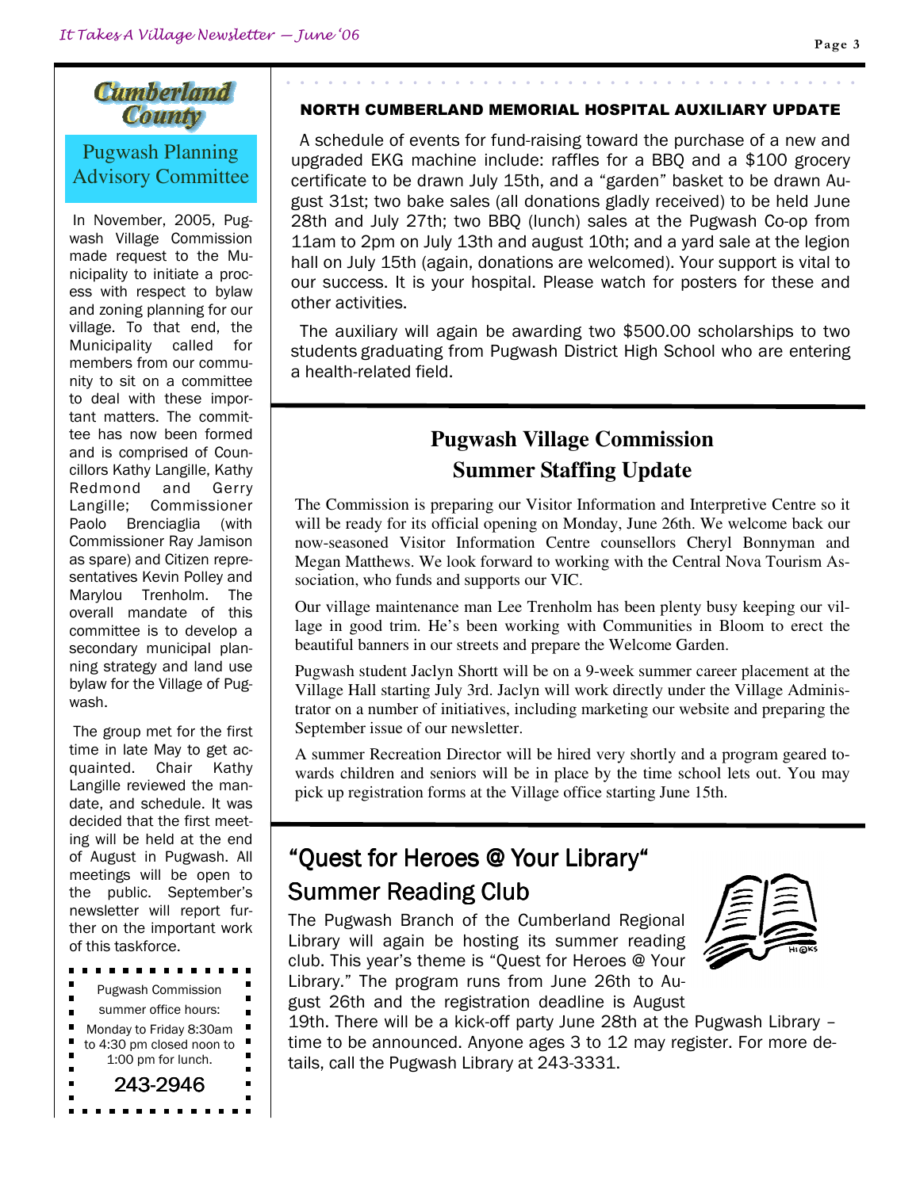#### Page 3

#### **Cumberland** County

#### Pugwash Planning Advisory Committee

In November, 2005, Pugwash Village Commission made request to the Municipality to initiate a process with respect to bylaw and zoning planning for our village. To that end, the Municipality called for members from our community to sit on a committee to deal with these important matters. The committee has now been formed and is comprised of Councillors Kathy Langille, Kathy Redmond and Gerry Langille; Commissioner Paolo Brenciaglia (with Commissioner Ray Jamison as spare) and Citizen representatives Kevin Polley and Marylou Trenholm. The overall mandate of this committee is to develop a secondary municipal planning strategy and land use bylaw for the Village of Pugwash.

 The group met for the first time in late May to get acquainted. Chair Kathy Langille reviewed the mandate, and schedule. It was decided that the first meeting will be held at the end of August in Pugwash. All meetings will be open to the public. September's newsletter will report further on the important work of this taskforce.

 $\blacksquare$ . . . . . . Pugwash Commission summer office hours: Monday to Friday 8:30am to 4:30 pm closed noon to 1:00 pm for lunch.  $\blacksquare$ 243-2946

#### NORTH CUMBERLAND MEMORIAL HOSPITAL AUXILIARY UPDATE

 A schedule of events for fund-raising toward the purchase of a new and upgraded EKG machine include: raffles for a BBQ and a \$100 grocery certificate to be drawn July 15th, and a "garden" basket to be drawn August 31st; two bake sales (all donations gladly received) to be held June 28th and July 27th; two BBQ (lunch) sales at the Pugwash Co-op from 11am to 2pm on July 13th and august 10th; and a yard sale at the legion hall on July 15th (again, donations are welcomed). Your support is vital to our success. It is your hospital. Please watch for posters for these and other activities.

 The auxiliary will again be awarding two \$500.00 scholarships to two students graduating from Pugwash District High School who are entering a health-related field.

## **Pugwash Village Commission Summer Staffing Update**

The Commission is preparing our Visitor Information and Interpretive Centre so it will be ready for its official opening on Monday, June 26th. We welcome back our now-seasoned Visitor Information Centre counsellors Cheryl Bonnyman and Megan Matthews. We look forward to working with the Central Nova Tourism Association, who funds and supports our VIC.

Our village maintenance man Lee Trenholm has been plenty busy keeping our village in good trim. He's been working with Communities in Bloom to erect the beautiful banners in our streets and prepare the Welcome Garden.

Pugwash student Jaclyn Shortt will be on a 9-week summer career placement at the Village Hall starting July 3rd. Jaclyn will work directly under the Village Administrator on a number of initiatives, including marketing our website and preparing the September issue of our newsletter.

A summer Recreation Director will be hired very shortly and a program geared towards children and seniors will be in place by the time school lets out. You may pick up registration forms at the Village office starting June 15th.

# "Quest for Heroes @ Your Library" **Summer Reading Club**

The Pugwash Branch of the Cumberland Regional Library will again be hosting its summer reading club. This year's theme is "Quest for Heroes @ Your Library." The program runs from June 26th to August 26th and the registration deadline is August



19th. There will be a kick-off party June 28th at the Pugwash Library – time to be announced. Anyone ages 3 to 12 may register. For more details, call the Pugwash Library at 243-3331.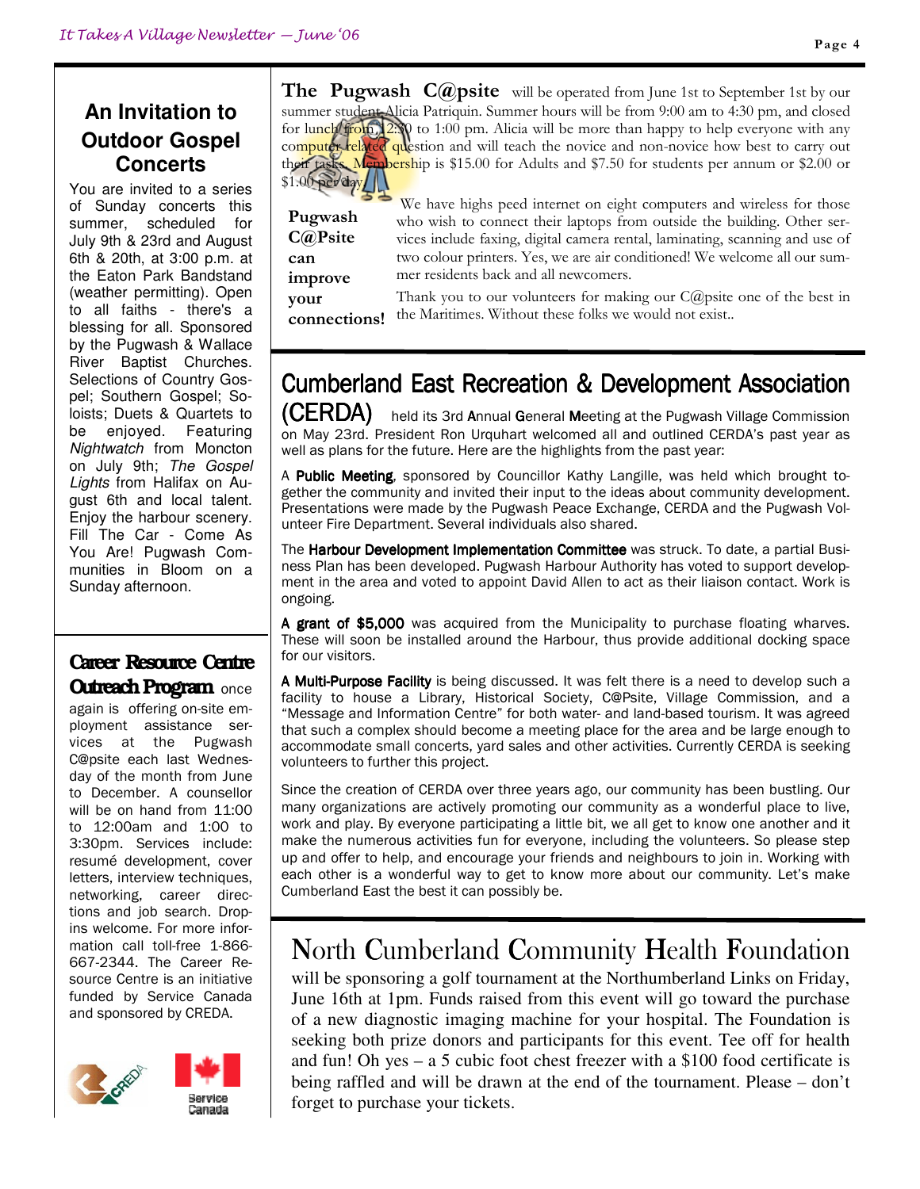# **An Invitation to Outdoor Gospel Concerts**

You are invited to a series of Sunday concerts this summer, scheduled for July 9th & 23rd and August 6th & 20th, at 3:00 p.m. at the Eaton Park Bandstand (weather permitting). Open to all faiths - there's a blessing for all. Sponsored by the Pugwash & Wallace River Baptist Churches. Selections of Country Gospel; Southern Gospel; Soloists; Duets & Quartets to be enjoyed. Featuring Nightwatch from Moncton on July 9th; The Gospel Lights from Halifax on August 6th and local talent. Enjoy the harbour scenery. Fill The Car - Come As You Are! Pugwash Communities in Bloom on a Sunday afternoon.

#### Career Resource Centre **Outreach Program once**

again is offering on-site employment assistance services at the Pugwash C@psite each last Wednesday of the month from June to December. A counsellor will be on hand from 11:00 to 12:00am and 1:00 to 3:30pm. Services include: resumé development, cover letters, interview techniques, networking, career directions and job search. Dropins welcome. For more information call toll-free 1-866- 667-2344. The Career Resource Centre is an initiative funded by Service Canada and sponsored by CREDA.



**The Pugwash C@psite** will be operated from June 1st to September 1st by our summer student Alicia Patriquin. Summer hours will be from 9:00 am to 4:30 pm, and closed for lunch from  $2\%$  to 1:00 pm. Alicia will be more than happy to help everyone with any computer related question and will teach the novice and non-novice how best to carry out their tasks. Membership is \$15.00 for Adults and \$7.50 for students per annum or \$2.00 or  $$1.00$  per day.

Pugwash C@Psite can improve your connections!

 We have highs peed internet on eight computers and wireless for those who wish to connect their laptops from outside the building. Other services include faxing, digital camera rental, laminating, scanning and use of two colour printers. Yes, we are air conditioned! We welcome all our summer residents back and all newcomers.

Thank you to our volunteers for making our C@psite one of the best in the Maritimes. Without these folks we would not exist..

# Cumberland East Recreation & Development Association

 $(CERDA)$  held its 3rd Annual General Meeting at the Pugwash Village Commission on May 23rd. President Ron Urquhart welcomed all and outlined CERDA's past year as well as plans for the future. Here are the highlights from the past year:

A Public Meeting, sponsored by Councillor Kathy Langille, was held which brought together the community and invited their input to the ideas about community development. Presentations were made by the Pugwash Peace Exchange, CERDA and the Pugwash Volunteer Fire Department. Several individuals also shared.

The Harbour Development Implementation Committee was struck. To date, a partial Business Plan has been developed. Pugwash Harbour Authority has voted to support development in the area and voted to appoint David Allen to act as their liaison contact. Work is ongoing.

A grant of \$5,000 was acquired from the Municipality to purchase floating wharves. These will soon be installed around the Harbour, thus provide additional docking space for our visitors.

A Multi-Purpose Facility is being discussed. It was felt there is a need to develop such a facility to house a Library, Historical Society, C@Psite, Village Commission, and a "Message and Information Centre" for both water- and land-based tourism. It was agreed that such a complex should become a meeting place for the area and be large enough to accommodate small concerts, yard sales and other activities. Currently CERDA is seeking volunteers to further this project.

Since the creation of CERDA over three years ago, our community has been bustling. Our many organizations are actively promoting our community as a wonderful place to live, work and play. By everyone participating a little bit, we all get to know one another and it make the numerous activities fun for everyone, including the volunteers. So please step up and offer to help, and encourage your friends and neighbours to join in. Working with each other is a wonderful way to get to know more about our community. Let's make Cumberland East the best it can possibly be.

# North Cumberland Community Health Foundation

will be sponsoring a golf tournament at the Northumberland Links on Friday, June 16th at 1pm. Funds raised from this event will go toward the purchase of a new diagnostic imaging machine for your hospital. The Foundation is seeking both prize donors and participants for this event. Tee off for health and fun! Oh yes – a 5 cubic foot chest freezer with a \$100 food certificate is being raffled and will be drawn at the end of the tournament. Please – don't forget to purchase your tickets.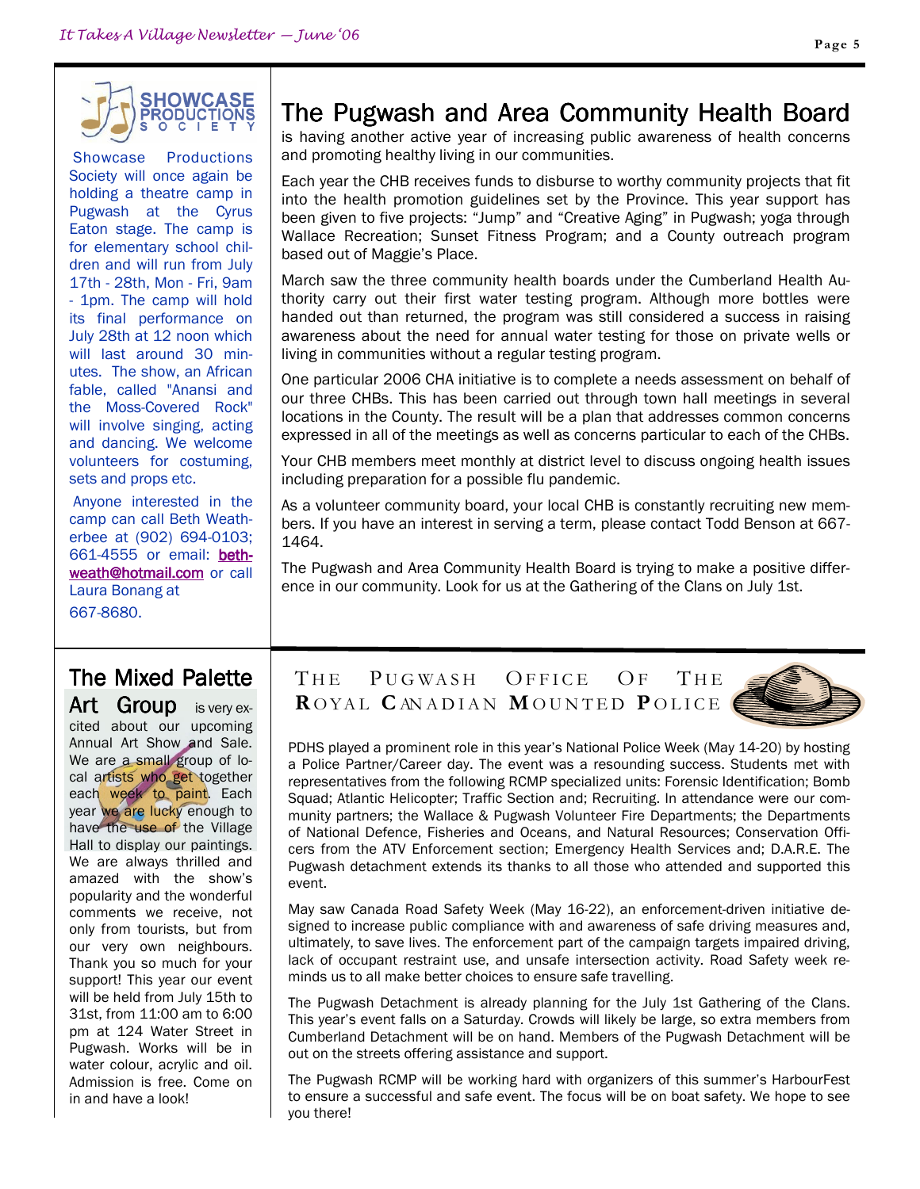

 Showcase Productions Society will once again be holding a theatre camp in Pugwash at the Cyrus Eaton stage. The camp is for elementary school children and will run from July 17th - 28th, Mon - Fri, 9am - 1pm. The camp will hold its final performance on July 28th at 12 noon which will last around 30 minutes. The show, an African fable, called "Anansi and the Moss-Covered Rock" will involve singing, acting and dancing. We welcome volunteers for costuming, sets and props etc.

 Anyone interested in the camp can call Beth Weatherbee at (902) 694-0103; 661-4555 or email: **beth**weath@hotmail.com or call Laura Bonang at

667-8680.

# The Mixed Palette

Art Group is very excited about our upcoming Annual Art Show and Sale. We are a small group of local artists who get together each week to paint. Each year we are lucky enough to have the use of the Village Hall to display our paintings. We are always thrilled and amazed with the show's popularity and the wonderful comments we receive, not only from tourists, but from our very own neighbours. Thank you so much for your support! This year our event will be held from July 15th to 31st, from 11:00 am to 6:00 pm at 124 Water Street in Pugwash. Works will be in water colour, acrylic and oil. Admission is free. Come on in and have a look!

# The Pugwash and Area Community Health Board

is having another active year of increasing public awareness of health concerns and promoting healthy living in our communities.

Each year the CHB receives funds to disburse to worthy community projects that fit into the health promotion guidelines set by the Province. This year support has been given to five projects: "Jump" and "Creative Aging" in Pugwash; yoga through Wallace Recreation; Sunset Fitness Program; and a County outreach program based out of Maggie's Place.

March saw the three community health boards under the Cumberland Health Authority carry out their first water testing program. Although more bottles were handed out than returned, the program was still considered a success in raising awareness about the need for annual water testing for those on private wells or living in communities without a regular testing program.

One particular 2006 CHA initiative is to complete a needs assessment on behalf of our three CHBs. This has been carried out through town hall meetings in several locations in the County. The result will be a plan that addresses common concerns expressed in all of the meetings as well as concerns particular to each of the CHBs.

Your CHB members meet monthly at district level to discuss ongoing health issues including preparation for a possible flu pandemic.

As a volunteer community board, your local CHB is constantly recruiting new members. If you have an interest in serving a term, please contact Todd Benson at 667- 1464.

The Pugwash and Area Community Health Board is trying to make a positive difference in our community. Look for us at the Gathering of the Clans on July 1st.

### THE PUGWASH OFFICE OF THE ROYAL CANADIAN MOUNTED POLICE



PDHS played a prominent role in this year's National Police Week (May 14-20) by hosting a Police Partner/Career day. The event was a resounding success. Students met with representatives from the following RCMP specialized units: Forensic Identification; Bomb Squad; Atlantic Helicopter; Traffic Section and; Recruiting. In attendance were our community partners; the Wallace & Pugwash Volunteer Fire Departments; the Departments of National Defence, Fisheries and Oceans, and Natural Resources; Conservation Officers from the ATV Enforcement section; Emergency Health Services and; D.A.R.E. The Pugwash detachment extends its thanks to all those who attended and supported this event.

May saw Canada Road Safety Week (May 16-22), an enforcement-driven initiative designed to increase public compliance with and awareness of safe driving measures and, ultimately, to save lives. The enforcement part of the campaign targets impaired driving, lack of occupant restraint use, and unsafe intersection activity. Road Safety week reminds us to all make better choices to ensure safe travelling.

The Pugwash Detachment is already planning for the July 1st Gathering of the Clans. This year's event falls on a Saturday. Crowds will likely be large, so extra members from Cumberland Detachment will be on hand. Members of the Pugwash Detachment will be out on the streets offering assistance and support.

The Pugwash RCMP will be working hard with organizers of this summer's HarbourFest to ensure a successful and safe event. The focus will be on boat safety. We hope to see you there!